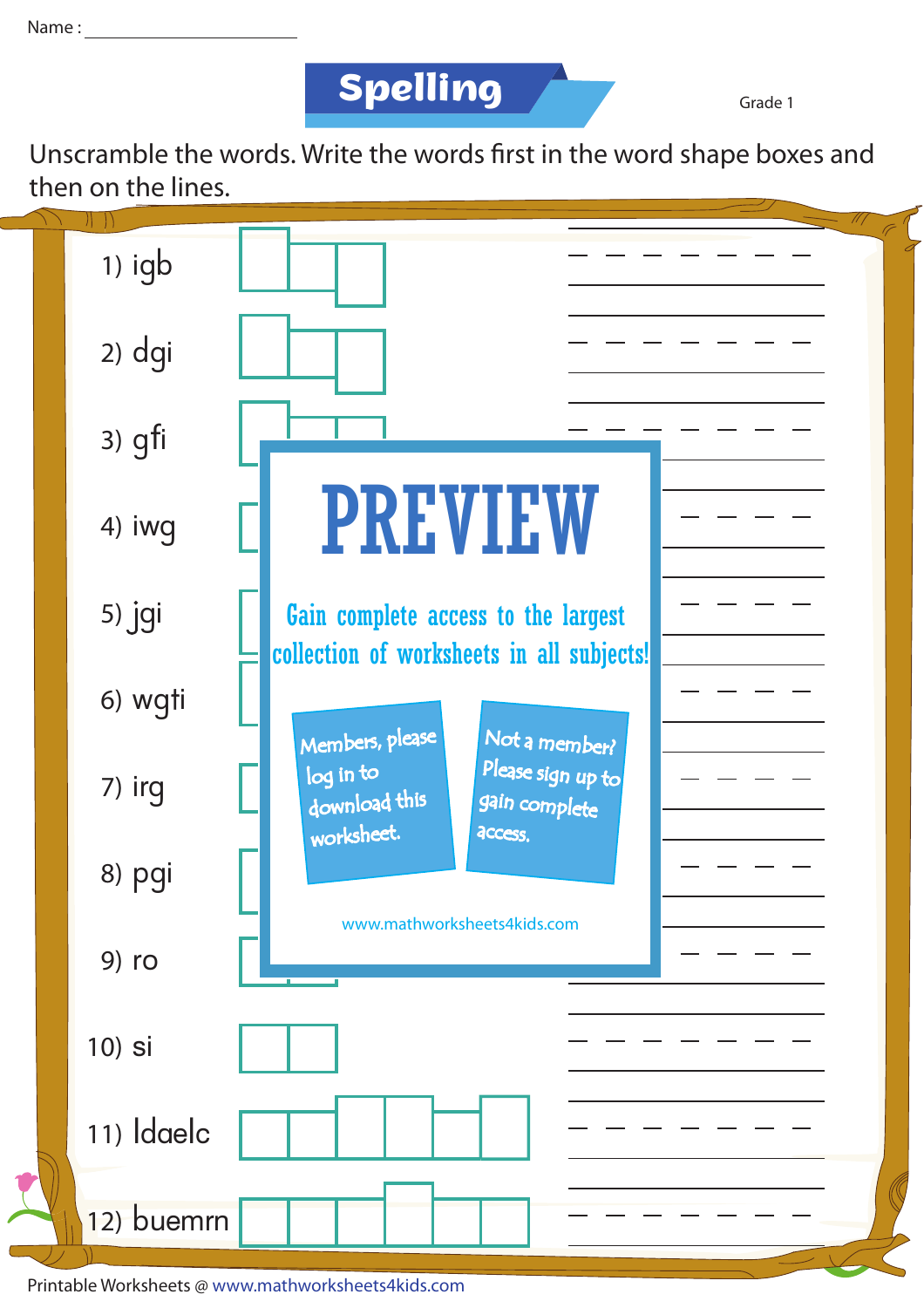

Grade 1

Unscramble the words. Write the words first in the word shape boxes and then on the lines.



Printable Worksheets @ www.mathworksheets4kids.com